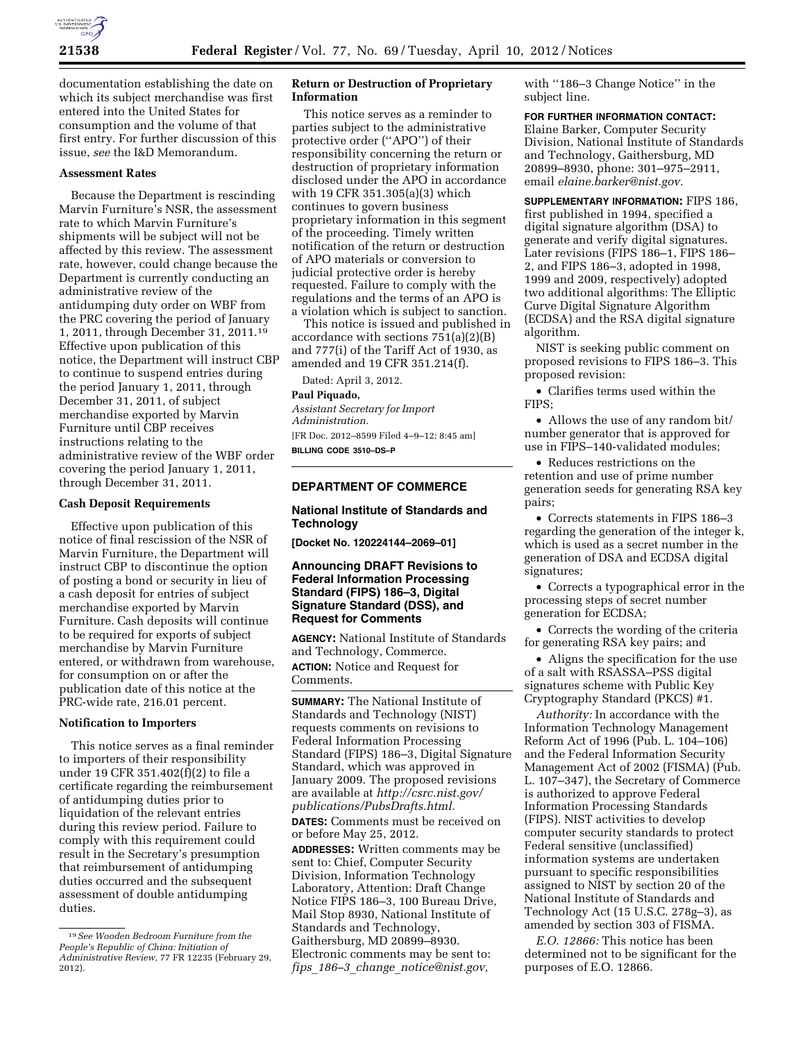

documentation establishing the date on which its subject merchandise was first entered into the United States for consumption and the volume of that first entry. For further discussion of this issue, *see* the I&D Memorandum.

## **Assessment Rates**

Because the Department is rescinding Marvin Furniture's NSR, the assessment rate to which Marvin Furniture's shipments will be subject will not be affected by this review. The assessment rate, however, could change because the Department is currently conducting an administrative review of the antidumping duty order on WBF from the PRC covering the period of January 1, 2011, through December 31, 2011.19 Effective upon publication of this notice, the Department will instruct CBP to continue to suspend entries during the period January 1, 2011, through December 31, 2011, of subject merchandise exported by Marvin Furniture until CBP receives instructions relating to the administrative review of the WBF order covering the period January 1, 2011, through December 31, 2011.

# **Cash Deposit Requirements**

Effective upon publication of this notice of final rescission of the NSR of Marvin Furniture, the Department will instruct CBP to discontinue the option of posting a bond or security in lieu of a cash deposit for entries of subject merchandise exported by Marvin Furniture. Cash deposits will continue to be required for exports of subject merchandise by Marvin Furniture entered, or withdrawn from warehouse, for consumption on or after the publication date of this notice at the PRC-wide rate, 216.01 percent.

#### **Notification to Importers**

This notice serves as a final reminder to importers of their responsibility under 19 CFR 351.402(f)(2) to file a certificate regarding the reimbursement of antidumping duties prior to liquidation of the relevant entries during this review period. Failure to comply with this requirement could result in the Secretary's presumption that reimbursement of antidumping duties occurred and the subsequent assessment of double antidumping duties.

# **Return or Destruction of Proprietary Information**

This notice serves as a reminder to parties subject to the administrative protective order (''APO'') of their responsibility concerning the return or destruction of proprietary information disclosed under the APO in accordance with 19 CFR 351.305(a)(3) which continues to govern business proprietary information in this segment of the proceeding. Timely written notification of the return or destruction of APO materials or conversion to judicial protective order is hereby requested. Failure to comply with the regulations and the terms of an APO is a violation which is subject to sanction.

This notice is issued and published in accordance with sections 751(a)(2)(B) and 777(i) of the Tariff Act of 1930, as amended and 19 CFR 351.214(f).

Dated: April 3, 2012.

#### **Paul Piquado,**

*Assistant Secretary for Import Administration.*  [FR Doc. 2012–8599 Filed 4–9–12; 8:45 am] **BILLING CODE 3510–DS–P** 

### **DEPARTMENT OF COMMERCE**

## **National Institute of Standards and Technology**

**[Docket No. 120224144–2069–01]** 

# **Announcing DRAFT Revisions to Federal Information Processing Standard (FIPS) 186–3, Digital Signature Standard (DSS), and Request for Comments**

**AGENCY:** National Institute of Standards and Technology, Commerce. **ACTION:** Notice and Request for Comments.

**SUMMARY:** The National Institute of Standards and Technology (NIST) requests comments on revisions to Federal Information Processing Standard (FIPS) 186–3, Digital Signature Standard, which was approved in January 2009. The proposed revisions are available at *[http://csrc.nist.gov/](http://csrc.nist.gov/publications/PubsDrafts.html) [publications/PubsDrafts.html.](http://csrc.nist.gov/publications/PubsDrafts.html)*  **DATES:** Comments must be received on or before May 25, 2012.

**ADDRESSES:** Written comments may be sent to: Chief, Computer Security Division, Information Technology Laboratory, Attention: Draft Change Notice FIPS 186–3, 100 Bureau Drive, Mail Stop 8930, National Institute of Standards and Technology, Gaithersburg, MD 20899–8930. Electronic comments may be sent to: *fips*\_*186–3*\_*change*\_*[notice@nist.gov,](mailto:fips_186-3_change_notice@nist.gov)* 

with ''186–3 Change Notice'' in the subject line.

# **FOR FURTHER INFORMATION CONTACT:**

Elaine Barker, Computer Security Division, National Institute of Standards and Technology, Gaithersburg, MD 20899–8930, phone: 301–975–2911, email *[elaine.barker@nist.gov.](mailto:elaine.barker@nist.gov)* 

**SUPPLEMENTARY INFORMATION:** FIPS 186, first published in 1994, specified a digital signature algorithm (DSA) to generate and verify digital signatures. Later revisions (FIPS 186–1, FIPS 186– 2, and FIPS 186–3, adopted in 1998, 1999 and 2009, respectively) adopted two additional algorithms: The Elliptic Curve Digital Signature Algorithm (ECDSA) and the RSA digital signature algorithm.

NIST is seeking public comment on proposed revisions to FIPS 186–3. This proposed revision:

• Clarifies terms used within the FIPS;

• Allows the use of any random bit/ number generator that is approved for use in FIPS–140-validated modules;

• Reduces restrictions on the retention and use of prime number generation seeds for generating RSA key pairs;

• Corrects statements in FIPS 186–3 regarding the generation of the integer k, which is used as a secret number in the generation of DSA and ECDSA digital signatures;

• Corrects a typographical error in the processing steps of secret number generation for ECDSA;

• Corrects the wording of the criteria for generating RSA key pairs; and

• Aligns the specification for the use of a salt with RSASSA–PSS digital signatures scheme with Public Key Cryptography Standard (PKCS) #1.

*Authority:* In accordance with the Information Technology Management Reform Act of 1996 (Pub. L. 104–106) and the Federal Information Security Management Act of 2002 (FISMA) (Pub. L. 107–347), the Secretary of Commerce is authorized to approve Federal Information Processing Standards (FIPS). NIST activities to develop computer security standards to protect Federal sensitive (unclassified) information systems are undertaken pursuant to specific responsibilities assigned to NIST by section 20 of the National Institute of Standards and Technology Act (15 U.S.C. 278g–3), as amended by section 303 of FISMA.

*E.O. 12866:* This notice has been determined not to be significant for the purposes of E.O. 12866.

<sup>19</sup>*See Wooden Bedroom Furniture from the People's Republic of China: Initiation of Administrative Review,* 77 FR 12235 (February 29, 2012).